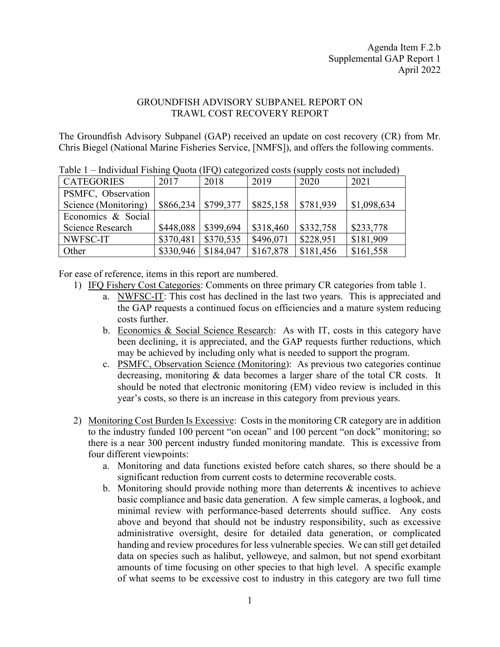## GROUNDFISH ADVISORY SUBPANEL REPORT ON TRAWL COST RECOVERY REPORT

The Groundfish Advisory Subpanel (GAP) received an update on cost recovery (CR) from Mr. Chris Biegel (National Marine Fisheries Service, [NMFS]), and offers the following comments.

| $\ldots$                |           |           |           |           |             |
|-------------------------|-----------|-----------|-----------|-----------|-------------|
| <b>CATEGORIES</b>       | 2017      | 2018      | 2019      | 2020      | 2021        |
| PSMFC, Observation      |           |           |           |           |             |
| Science (Monitoring)    | \$866,234 | \$799,377 | \$825,158 | \$781,939 | \$1,098,634 |
| Economics & Social      |           |           |           |           |             |
| <b>Science Research</b> | \$448,088 | \$399,694 | \$318,460 | \$332,758 | \$233,778   |
| NWFSC-IT                | \$370,481 | \$370,535 | \$496,071 | \$228,951 | \$181,909   |
| Other                   | \$330,946 | \$184,047 | \$167,878 | \$181,456 | \$161,558   |

Table 1 – Individual Fishing Quota (IFQ) categorized costs (supply costs not included)

For ease of reference, items in this report are numbered.

- 1) IFQ Fishery Cost Categories: Comments on three primary CR categories from table 1.
	- a. NWFSC-IT: This cost has declined in the last two years. This is appreciated and the GAP requests a continued focus on efficiencies and a mature system reducing costs further.
	- b. Economics & Social Science Research: As with IT, costs in this category have been declining, it is appreciated, and the GAP requests further reductions, which may be achieved by including only what is needed to support the program.
	- c. PSMFC, Observation Science (Monitoring): As previous two categories continue decreasing, monitoring & data becomes a larger share of the total CR costs. It should be noted that electronic monitoring (EM) video review is included in this year's costs, so there is an increase in this category from previous years.
- 2) Monitoring Cost Burden Is Excessive: Costs in the monitoring CR category are in addition to the industry funded 100 percent "on ocean" and 100 percent "on dock" monitoring; so there is a near 300 percent industry funded monitoring mandate. This is excessive from four different viewpoints:
	- a. Monitoring and data functions existed before catch shares, so there should be a significant reduction from current costs to determine recoverable costs.
	- b. Monitoring should provide nothing more than deterrents  $\&$  incentives to achieve basic compliance and basic data generation. A few simple cameras, a logbook, and minimal review with performance-based deterrents should suffice. Any costs above and beyond that should not be industry responsibility, such as excessive administrative oversight, desire for detailed data generation, or complicated handing and review procedures for less vulnerable species. We can still get detailed data on species such as halibut, yelloweye, and salmon, but not spend exorbitant amounts of time focusing on other species to that high level. A specific example of what seems to be excessive cost to industry in this category are two full time